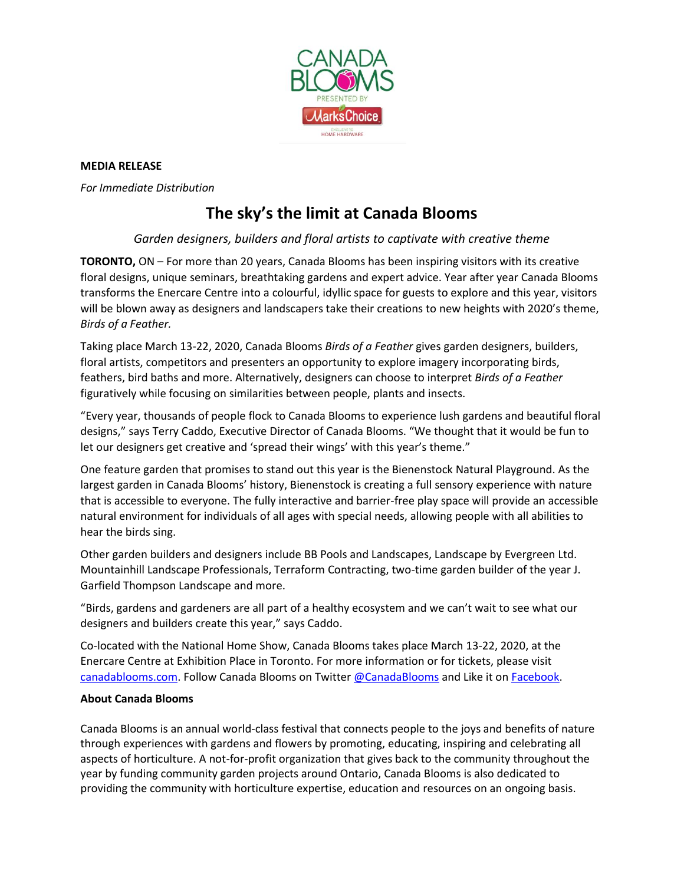

### **MEDIA RELEASE**

*For Immediate Distribution* 

# **The sky's the limit at Canada Blooms**

## *Garden designers, builders and floral artists to captivate with creative theme*

**TORONTO,** ON – For more than 20 years, Canada Blooms has been inspiring visitors with its creative floral designs, unique seminars, breathtaking gardens and expert advice. Year after year Canada Blooms transforms the Enercare Centre into a colourful, idyllic space for guests to explore and this year, visitors will be blown away as designers and landscapers take their creations to new heights with 2020's theme, *Birds of a Feather.*

Taking place March 13-22, 2020, Canada Blooms *Birds of a Feather* gives garden designers, builders, floral artists, competitors and presenters an opportunity to explore imagery incorporating birds, feathers, bird baths and more. Alternatively, designers can choose to interpret *Birds of a Feather*  figuratively while focusing on similarities between people, plants and insects.

"Every year, thousands of people flock to Canada Blooms to experience lush gardens and beautiful floral designs," says Terry Caddo, Executive Director of Canada Blooms. "We thought that it would be fun to let our designers get creative and 'spread their wings' with this year's theme."

One feature garden that promises to stand out this year is the Bienenstock Natural Playground. As the largest garden in Canada Blooms' history, Bienenstock is creating a full sensory experience with nature that is accessible to everyone. The fully interactive and barrier-free play space will provide an accessible natural environment for individuals of all ages with special needs, allowing people with all abilities to hear the birds sing.

Other garden builders and designers include BB Pools and Landscapes, Landscape by Evergreen Ltd. Mountainhill Landscape Professionals, Terraform Contracting, two-time garden builder of the year J. Garfield Thompson Landscape and more.

"Birds, gardens and gardeners are all part of a healthy ecosystem and we can't wait to see what our designers and builders create this year," says Caddo.

Co-located with the National Home Show, Canada Blooms takes place March 13-22, 2020, at the Enercare Centre at Exhibition Place in Toronto. For more information or for tickets, please visit [canadablooms.com.](http://www.canadablooms.com/) Follow Canada Blooms on Twitte[r @CanadaBlooms](http://www.twitter.com/canadablooms) and Like it o[n Facebook.](http://www.facebook.com/canadablooms)

## **About Canada Blooms**

Canada Blooms is an annual world-class festival that connects people to the joys and benefits of nature through experiences with gardens and flowers by promoting, educating, inspiring and celebrating all aspects of horticulture. A not-for-profit organization that gives back to the community throughout the year by funding community garden projects around Ontario, Canada Blooms is also dedicated to providing the community with horticulture expertise, education and resources on an ongoing basis.